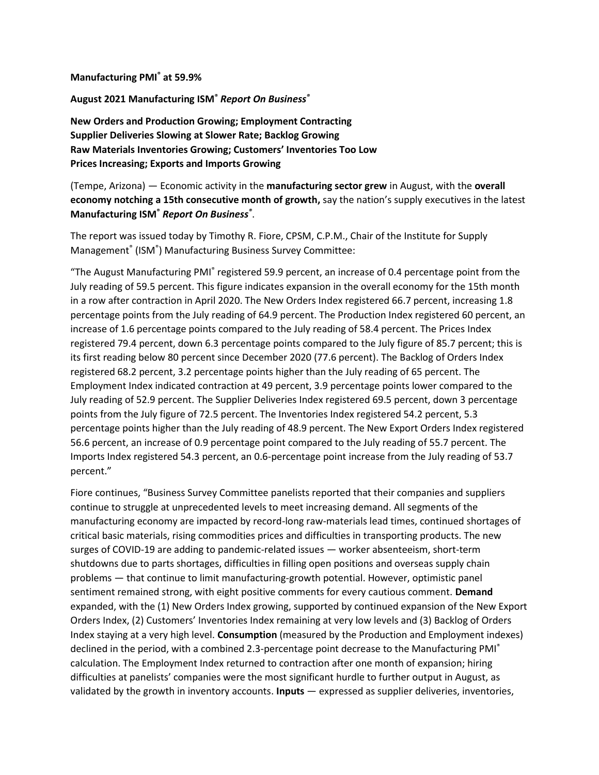**Manufacturing PMI® at 59.9%**

**August 2021 Manufacturing ISM®** *Report On Business®*

**New Orders and Production Growing; Employment Contracting Supplier Deliveries Slowing at Slower Rate; Backlog Growing Raw Materials Inventories Growing; Customers' Inventories Too Low Prices Increasing; Exports and Imports Growing**

(Tempe, Arizona) — Economic activity in the **manufacturing sector grew** in August, with the **overall economy notching a 15th consecutive month of growth,** say the nation's supply executives in the latest **Manufacturing ISM®** *Report On Business®* .

The report was issued today by Timothy R. Fiore, CPSM, C.P.M., Chair of the Institute for Supply Management<sup>®</sup> (ISM®) Manufacturing Business Survey Committee:

"The August Manufacturing PMI<sup>®</sup> registered 59.9 percent, an increase of 0.4 percentage point from the July reading of 59.5 percent. This figure indicates expansion in the overall economy for the 15th month in a row after contraction in April 2020. The New Orders Index registered 66.7 percent, increasing 1.8 percentage points from the July reading of 64.9 percent. The Production Index registered 60 percent, an increase of 1.6 percentage points compared to the July reading of 58.4 percent. The Prices Index registered 79.4 percent, down 6.3 percentage points compared to the July figure of 85.7 percent; this is its first reading below 80 percent since December 2020 (77.6 percent). The Backlog of Orders Index registered 68.2 percent, 3.2 percentage points higher than the July reading of 65 percent. The Employment Index indicated contraction at 49 percent, 3.9 percentage points lower compared to the July reading of 52.9 percent. The Supplier Deliveries Index registered 69.5 percent, down 3 percentage points from the July figure of 72.5 percent. The Inventories Index registered 54.2 percent, 5.3 percentage points higher than the July reading of 48.9 percent. The New Export Orders Index registered 56.6 percent, an increase of 0.9 percentage point compared to the July reading of 55.7 percent. The Imports Index registered 54.3 percent, an 0.6-percentage point increase from the July reading of 53.7 percent."

Fiore continues, "Business Survey Committee panelists reported that their companies and suppliers continue to struggle at unprecedented levels to meet increasing demand. All segments of the manufacturing economy are impacted by record-long raw-materials lead times, continued shortages of critical basic materials, rising commodities prices and difficulties in transporting products. The new surges of COVID-19 are adding to pandemic-related issues — worker absenteeism, short-term shutdowns due to parts shortages, difficulties in filling open positions and overseas supply chain problems — that continue to limit manufacturing-growth potential. However, optimistic panel sentiment remained strong, with eight positive comments for every cautious comment. **Demand** expanded, with the (1) New Orders Index growing, supported by continued expansion of the New Export Orders Index, (2) Customers' Inventories Index remaining at very low levels and (3) Backlog of Orders Index staying at a very high level. **Consumption** (measured by the Production and Employment indexes) declined in the period, with a combined 2.3-percentage point decrease to the Manufacturing PMI<sup>®</sup> calculation. The Employment Index returned to contraction after one month of expansion; hiring difficulties at panelists' companies were the most significant hurdle to further output in August, as validated by the growth in inventory accounts. **Inputs** — expressed as supplier deliveries, inventories,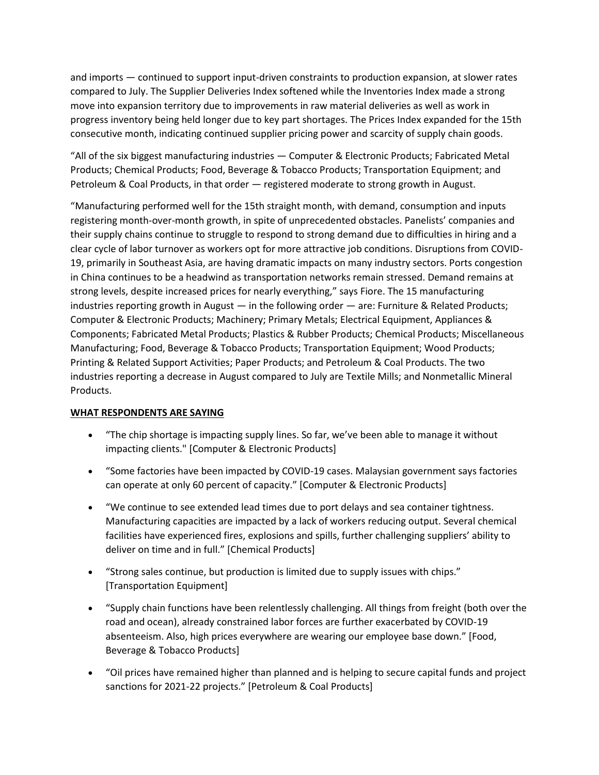and imports — continued to support input-driven constraints to production expansion, at slower rates compared to July. The Supplier Deliveries Index softened while the Inventories Index made a strong move into expansion territory due to improvements in raw material deliveries as well as work in progress inventory being held longer due to key part shortages. The Prices Index expanded for the 15th consecutive month, indicating continued supplier pricing power and scarcity of supply chain goods.

"All of the six biggest manufacturing industries — Computer & Electronic Products; Fabricated Metal Products; Chemical Products; Food, Beverage & Tobacco Products; Transportation Equipment; and Petroleum & Coal Products, in that order — registered moderate to strong growth in August.

"Manufacturing performed well for the 15th straight month, with demand, consumption and inputs registering month-over-month growth, in spite of unprecedented obstacles. Panelists' companies and their supply chains continue to struggle to respond to strong demand due to difficulties in hiring and a clear cycle of labor turnover as workers opt for more attractive job conditions. Disruptions from COVID-19, primarily in Southeast Asia, are having dramatic impacts on many industry sectors. Ports congestion in China continues to be a headwind as transportation networks remain stressed. Demand remains at strong levels, despite increased prices for nearly everything," says Fiore. The 15 manufacturing industries reporting growth in August — in the following order — are: Furniture & Related Products; Computer & Electronic Products; Machinery; Primary Metals; Electrical Equipment, Appliances & Components; Fabricated Metal Products; Plastics & Rubber Products; Chemical Products; Miscellaneous Manufacturing; Food, Beverage & Tobacco Products; Transportation Equipment; Wood Products; Printing & Related Support Activities; Paper Products; and Petroleum & Coal Products. The two industries reporting a decrease in August compared to July are Textile Mills; and Nonmetallic Mineral Products.

# **WHAT RESPONDENTS ARE SAYING**

- "The chip shortage is impacting supply lines. So far, we've been able to manage it without impacting clients." [Computer & Electronic Products]
- "Some factories have been impacted by COVID-19 cases. Malaysian government says factories can operate at only 60 percent of capacity." [Computer & Electronic Products]
- "We continue to see extended lead times due to port delays and sea container tightness. Manufacturing capacities are impacted by a lack of workers reducing output. Several chemical facilities have experienced fires, explosions and spills, further challenging suppliers' ability to deliver on time and in full." [Chemical Products]
- "Strong sales continue, but production is limited due to supply issues with chips." [Transportation Equipment]
- "Supply chain functions have been relentlessly challenging. All things from freight (both over the road and ocean), already constrained labor forces are further exacerbated by COVID-19 absenteeism. Also, high prices everywhere are wearing our employee base down." [Food, Beverage & Tobacco Products]
- "Oil prices have remained higher than planned and is helping to secure capital funds and project sanctions for 2021-22 projects." [Petroleum & Coal Products]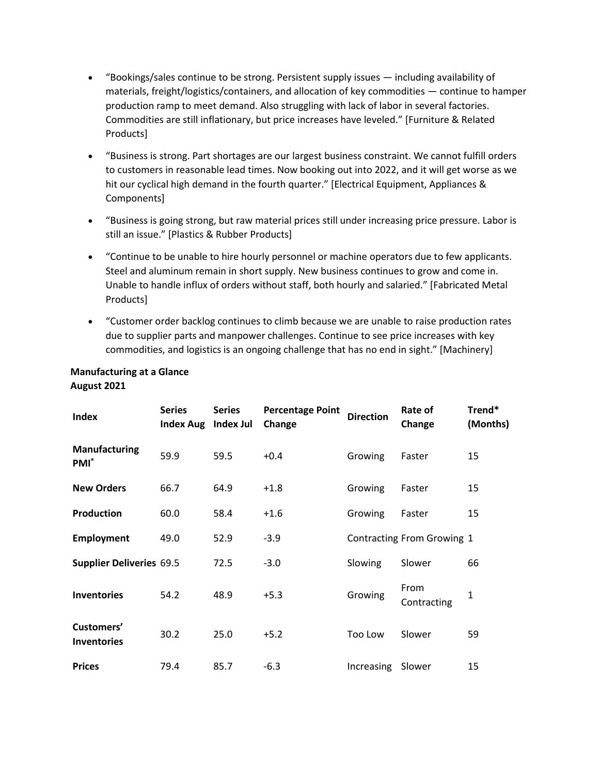- "Bookings/sales continue to be strong. Persistent supply issues including availability of materials, freight/logistics/containers, and allocation of key commodities — continue to hamper production ramp to meet demand. Also struggling with lack of labor in several factories. Commodities are still inflationary, but price increases have leveled." [Furniture & Related Products]
- "Business is strong. Part shortages are our largest business constraint. We cannot fulfill orders to customers in reasonable lead times. Now booking out into 2022, and it will get worse as we hit our cyclical high demand in the fourth quarter." [Electrical Equipment, Appliances & Components]
- "Business is going strong, but raw material prices still under increasing price pressure. Labor is still an issue." [Plastics & Rubber Products]
- "Continue to be unable to hire hourly personnel or machine operators due to few applicants. Steel and aluminum remain in short supply. New business continues to grow and come in. Unable to handle influx of orders without staff, both hourly and salaried." [Fabricated Metal Products]
- "Customer order backlog continues to climb because we are unable to raise production rates due to supplier parts and manpower challenges. Continue to see price increases with key commodities, and logistics is an ongoing challenge that has no end in sight." [Machinery]

# **Manufacturing at a Glance August 2021**

| <b>Index</b>                     | <b>Series</b><br>Index Aug Index Jul | <b>Series</b> | <b>Percentage Point</b><br>Change | <b>Direction</b> | Rate of<br>Change          | Trend*<br>(Months) |
|----------------------------------|--------------------------------------|---------------|-----------------------------------|------------------|----------------------------|--------------------|
| <b>Manufacturing</b><br>$PMI^*$  | 59.9                                 | 59.5          | $+0.4$                            | Growing          | Faster                     | 15                 |
| <b>New Orders</b>                | 66.7                                 | 64.9          | $+1.8$                            | Growing          | Faster                     | 15                 |
| <b>Production</b>                | 60.0                                 | 58.4          | $+1.6$                            | Growing          | Faster                     | 15                 |
| <b>Employment</b>                | 49.0                                 | 52.9          | $-3.9$                            |                  | Contracting From Growing 1 |                    |
| <b>Supplier Deliveries 69.5</b>  |                                      | 72.5          | $-3.0$                            | Slowing          | Slower                     | 66                 |
| <b>Inventories</b>               | 54.2                                 | 48.9          | $+5.3$                            | Growing          | From<br>Contracting        | $\mathbf{1}$       |
| Customers'<br><b>Inventories</b> | 30.2                                 | 25.0          | $+5.2$                            | Too Low          | Slower                     | 59                 |
| <b>Prices</b>                    | 79.4                                 | 85.7          | $-6.3$                            | Increasing       | Slower                     | 15                 |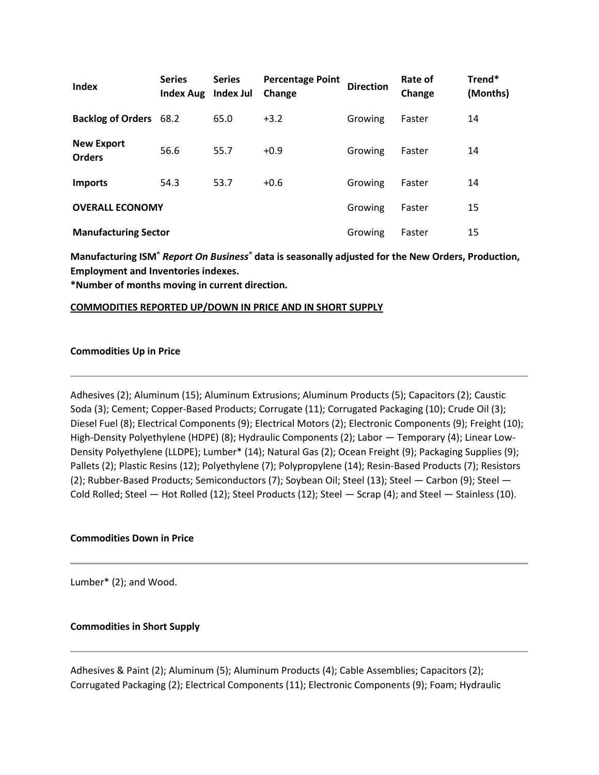| Index                              | <b>Series</b><br><b>Index Aug</b> | <b>Series</b><br>Index Jul | <b>Percentage Point</b><br>Change | <b>Direction</b> | Rate of<br>Change | Trend*<br>(Months) |
|------------------------------------|-----------------------------------|----------------------------|-----------------------------------|------------------|-------------------|--------------------|
| <b>Backlog of Orders</b> 68.2      |                                   | 65.0                       | $+3.2$                            | Growing          | Faster            | 14                 |
| <b>New Export</b><br><b>Orders</b> | 56.6                              | 55.7                       | $+0.9$                            | Growing          | Faster            | 14                 |
| <b>Imports</b>                     | 54.3                              | 53.7                       | $+0.6$                            | Growing          | Faster            | 14                 |
| <b>OVERALL ECONOMY</b>             |                                   |                            |                                   | Growing          | Faster            | 15                 |
| <b>Manufacturing Sector</b>        |                                   |                            |                                   | Growing          | Faster            | 15                 |

**Manufacturing ISM®** *Report On Business®* **data is seasonally adjusted for the New Orders, Production, Employment and Inventories indexes.**

**\*Number of months moving in current direction.**

#### **COMMODITIES REPORTED UP/DOWN IN PRICE AND IN SHORT SUPPLY**

#### **Commodities Up in Price**

Adhesives (2); Aluminum (15); Aluminum Extrusions; Aluminum Products (5); Capacitors (2); Caustic Soda (3); Cement; Copper-Based Products; Corrugate (11); Corrugated Packaging (10); Crude Oil (3); Diesel Fuel (8); Electrical Components (9); Electrical Motors (2); Electronic Components (9); Freight (10); High-Density Polyethylene (HDPE) (8); Hydraulic Components (2); Labor — Temporary (4); Linear Low-Density Polyethylene (LLDPE); Lumber\* (14); Natural Gas (2); Ocean Freight (9); Packaging Supplies (9); Pallets (2); Plastic Resins (12); Polyethylene (7); Polypropylene (14); Resin-Based Products (7); Resistors (2); Rubber-Based Products; Semiconductors (7); Soybean Oil; Steel (13); Steel — Carbon (9); Steel — Cold Rolled; Steel — Hot Rolled (12); Steel Products (12); Steel — Scrap (4); and Steel — Stainless (10).

## **Commodities Down in Price**

Lumber\* (2); and Wood.

#### **Commodities in Short Supply**

Adhesives & Paint (2); Aluminum (5); Aluminum Products (4); Cable Assemblies; Capacitors (2); Corrugated Packaging (2); Electrical Components (11); Electronic Components (9); Foam; Hydraulic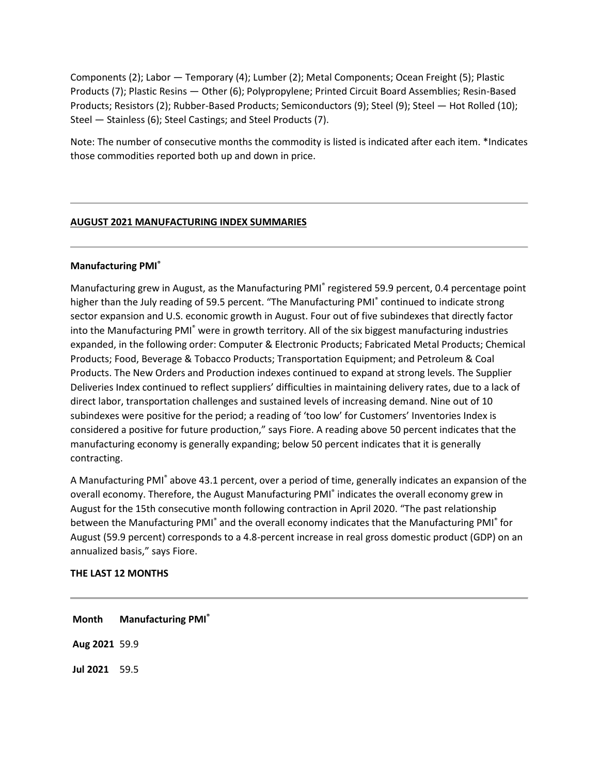Components (2); Labor — Temporary (4); Lumber (2); Metal Components; Ocean Freight (5); Plastic Products (7); Plastic Resins — Other (6); Polypropylene; Printed Circuit Board Assemblies; Resin-Based Products; Resistors (2); Rubber-Based Products; Semiconductors (9); Steel (9); Steel — Hot Rolled (10); Steel — Stainless (6); Steel Castings; and Steel Products (7).

Note: The number of consecutive months the commodity is listed is indicated after each item. \*Indicates those commodities reported both up and down in price.

## **AUGUST 2021 MANUFACTURING INDEX SUMMARIES**

## **Manufacturing PMI®**

Manufacturing grew in August, as the Manufacturing PMI® registered 59.9 percent, 0.4 percentage point higher than the July reading of 59.5 percent. "The Manufacturing PMI<sup>®</sup> continued to indicate strong sector expansion and U.S. economic growth in August. Four out of five subindexes that directly factor into the Manufacturing PMI<sup>®</sup> were in growth territory. All of the six biggest manufacturing industries expanded, in the following order: Computer & Electronic Products; Fabricated Metal Products; Chemical Products; Food, Beverage & Tobacco Products; Transportation Equipment; and Petroleum & Coal Products. The New Orders and Production indexes continued to expand at strong levels. The Supplier Deliveries Index continued to reflect suppliers' difficulties in maintaining delivery rates, due to a lack of direct labor, transportation challenges and sustained levels of increasing demand. Nine out of 10 subindexes were positive for the period; a reading of 'too low' for Customers' Inventories Index is considered a positive for future production," says Fiore. A reading above 50 percent indicates that the manufacturing economy is generally expanding; below 50 percent indicates that it is generally contracting.

A Manufacturing PMI® above 43.1 percent, over a period of time, generally indicates an expansion of the overall economy. Therefore, the August Manufacturing PMI<sup>®</sup> indicates the overall economy grew in August for the 15th consecutive month following contraction in April 2020. "The past relationship between the Manufacturing PMI<sup>®</sup> and the overall economy indicates that the Manufacturing PMI<sup>®</sup> for August (59.9 percent) corresponds to a 4.8-percent increase in real gross domestic product (GDP) on an annualized basis," says Fiore.

## **THE LAST 12 MONTHS**

**Month Manufacturing PMI® Aug 2021** 59.9 **Jul 2021** 59.5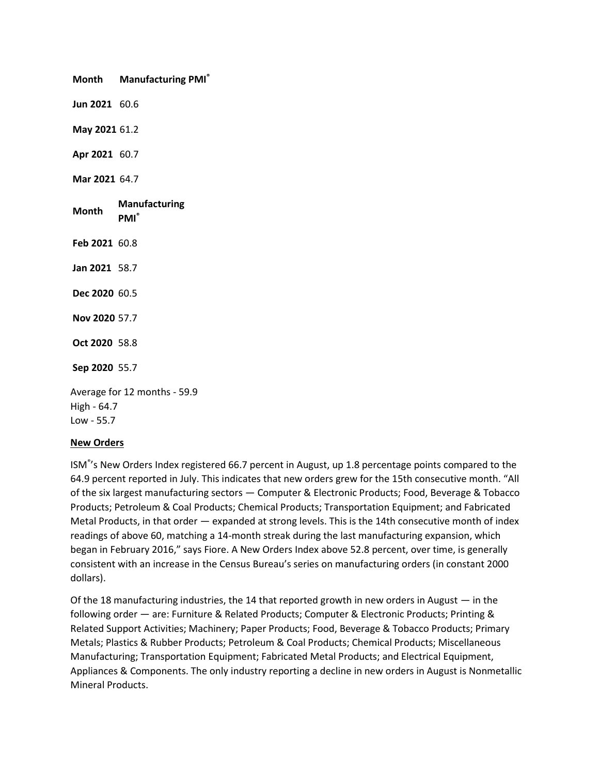**Month Manufacturing PMI® Jun 2021** 60.6 **May 2021** 61.2 **Apr 2021** 60.7 **Mar 2021** 64.7 **Month Manufacturing PMI® Feb 2021** 60.8 **Jan 2021** 58.7 **Dec 2020** 60.5 **Nov 2020** 57.7 **Oct 2020** 58.8 **Sep 2020** 55.7 Average for 12 months - 59.9 High - 64.7 Low - 55.7

## **New Orders**

ISM® 's New Orders Index registered 66.7 percent in August, up 1.8 percentage points compared to the 64.9 percent reported in July. This indicates that new orders grew for the 15th consecutive month. "All of the six largest manufacturing sectors — Computer & Electronic Products; Food, Beverage & Tobacco Products; Petroleum & Coal Products; Chemical Products; Transportation Equipment; and Fabricated Metal Products, in that order — expanded at strong levels. This is the 14th consecutive month of index readings of above 60, matching a 14-month streak during the last manufacturing expansion, which began in February 2016," says Fiore. A New Orders Index above 52.8 percent, over time, is generally consistent with an increase in the Census Bureau's series on manufacturing orders (in constant 2000 dollars).

Of the 18 manufacturing industries, the 14 that reported growth in new orders in August — in the following order — are: Furniture & Related Products; Computer & Electronic Products; Printing & Related Support Activities; Machinery; Paper Products; Food, Beverage & Tobacco Products; Primary Metals; Plastics & Rubber Products; Petroleum & Coal Products; Chemical Products; Miscellaneous Manufacturing; Transportation Equipment; Fabricated Metal Products; and Electrical Equipment, Appliances & Components. The only industry reporting a decline in new orders in August is Nonmetallic Mineral Products.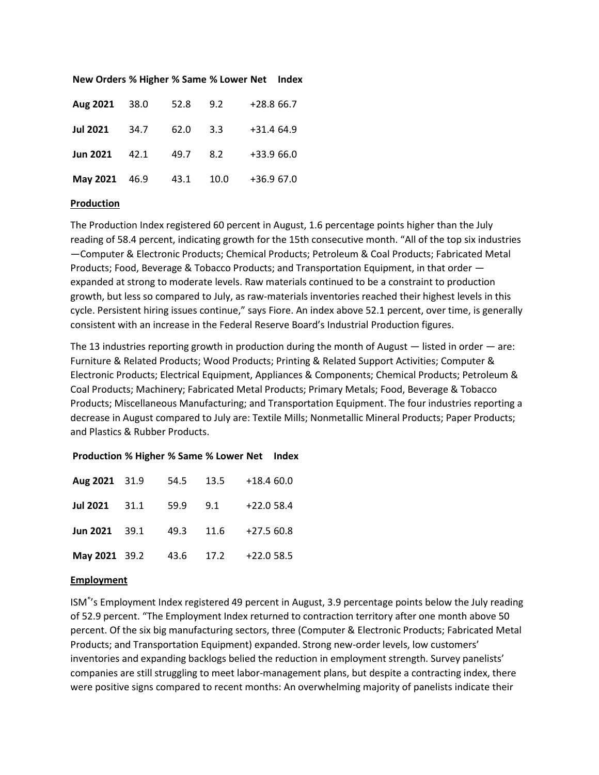| Aug 2021 38.0   |      | 52.8 | 9.2    | $+28.866.7$ |
|-----------------|------|------|--------|-------------|
| <b>Jul 2021</b> | 34.7 | 62.0 | $-3.3$ | $+31.464.9$ |
| <b>Jun 2021</b> | 42.1 | 49.7 | 8.2    | $+33.966.0$ |
| May 2021 46.9   |      | 43.1 | 10.0   | +36.9 67.0  |

#### **New Orders % Higher % Same % Lower Net Index**

#### **Production**

The Production Index registered 60 percent in August, 1.6 percentage points higher than the July reading of 58.4 percent, indicating growth for the 15th consecutive month. "All of the top six industries —Computer & Electronic Products; Chemical Products; Petroleum & Coal Products; Fabricated Metal Products; Food, Beverage & Tobacco Products; and Transportation Equipment, in that order expanded at strong to moderate levels. Raw materials continued to be a constraint to production growth, but less so compared to July, as raw-materials inventories reached their highest levels in this cycle. Persistent hiring issues continue," says Fiore. An index above 52.1 percent, over time, is generally consistent with an increase in the Federal Reserve Board's Industrial Production figures.

The 13 industries reporting growth in production during the month of August — listed in order — are: Furniture & Related Products; Wood Products; Printing & Related Support Activities; Computer & Electronic Products; Electrical Equipment, Appliances & Components; Chemical Products; Petroleum & Coal Products; Machinery; Fabricated Metal Products; Primary Metals; Food, Beverage & Tobacco Products; Miscellaneous Manufacturing; and Transportation Equipment. The four industries reporting a decrease in August compared to July are: Textile Mills; Nonmetallic Mineral Products; Paper Products; and Plastics & Rubber Products.

#### **Production % Higher % Same % Lower Net Index**

|  |  | Aug 2021 31.9 54.5 13.5 +18.4 60.0        |
|--|--|-------------------------------------------|
|  |  | Jul 2021 31.1 59.9 9.1 +22.0 58.4         |
|  |  | <b>Jun 2021</b> 39.1 49.3 11.6 +27.5 60.8 |
|  |  | May 2021 39.2 43.6 17.2 +22.0 58.5        |

#### **Employment**

ISM® 's Employment Index registered 49 percent in August, 3.9 percentage points below the July reading of 52.9 percent. "The Employment Index returned to contraction territory after one month above 50 percent. Of the six big manufacturing sectors, three (Computer & Electronic Products; Fabricated Metal Products; and Transportation Equipment) expanded. Strong new-order levels, low customers' inventories and expanding backlogs belied the reduction in employment strength. Survey panelists' companies are still struggling to meet labor-management plans, but despite a contracting index, there were positive signs compared to recent months: An overwhelming majority of panelists indicate their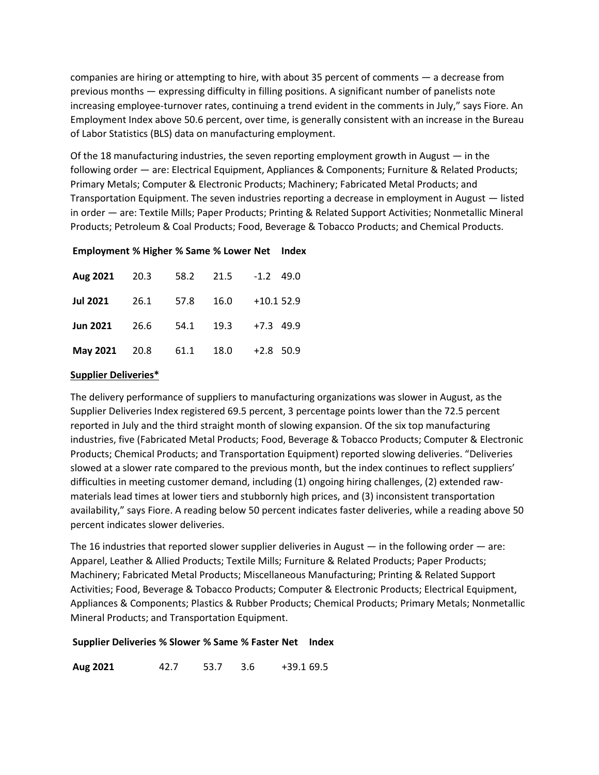companies are hiring or attempting to hire, with about 35 percent of comments — a decrease from previous months — expressing difficulty in filling positions. A significant number of panelists note increasing employee-turnover rates, continuing a trend evident in the comments in July," says Fiore. An Employment Index above 50.6 percent, over time, is generally consistent with an increase in the Bureau of Labor Statistics (BLS) data on manufacturing employment.

Of the 18 manufacturing industries, the seven reporting employment growth in August — in the following order — are: Electrical Equipment, Appliances & Components; Furniture & Related Products; Primary Metals; Computer & Electronic Products; Machinery; Fabricated Metal Products; and Transportation Equipment. The seven industries reporting a decrease in employment in August — listed in order — are: Textile Mills; Paper Products; Printing & Related Support Activities; Nonmetallic Mineral Products; Petroleum & Coal Products; Food, Beverage & Tobacco Products; and Chemical Products.

## **Employment % Higher % Same % Lower Net Index**

|  |  | Aug 2021 20.3 58.2 21.5 -1.2 49.0        |
|--|--|------------------------------------------|
|  |  | Jul 2021 26.1 57.8 16.0 +10.1 52.9       |
|  |  | <b>Jun 2021</b> 26.6 54.1 19.3 +7.3 49.9 |
|  |  | May 2021 20.8 61.1 18.0 +2.8 50.9        |

## **Supplier Deliveries\***

The delivery performance of suppliers to manufacturing organizations was slower in August, as the Supplier Deliveries Index registered 69.5 percent, 3 percentage points lower than the 72.5 percent reported in July and the third straight month of slowing expansion. Of the six top manufacturing industries, five (Fabricated Metal Products; Food, Beverage & Tobacco Products; Computer & Electronic Products; Chemical Products; and Transportation Equipment) reported slowing deliveries. "Deliveries slowed at a slower rate compared to the previous month, but the index continues to reflect suppliers' difficulties in meeting customer demand, including (1) ongoing hiring challenges, (2) extended rawmaterials lead times at lower tiers and stubbornly high prices, and (3) inconsistent transportation availability," says Fiore. A reading below 50 percent indicates faster deliveries, while a reading above 50 percent indicates slower deliveries.

The 16 industries that reported slower supplier deliveries in August — in the following order — are: Apparel, Leather & Allied Products; Textile Mills; Furniture & Related Products; Paper Products; Machinery; Fabricated Metal Products; Miscellaneous Manufacturing; Printing & Related Support Activities; Food, Beverage & Tobacco Products; Computer & Electronic Products; Electrical Equipment, Appliances & Components; Plastics & Rubber Products; Chemical Products; Primary Metals; Nonmetallic Mineral Products; and Transportation Equipment.

#### **Supplier Deliveries % Slower % Same % Faster Net Index**

**Aug 2021** 42.7 53.7 3.6 +39.1 69.5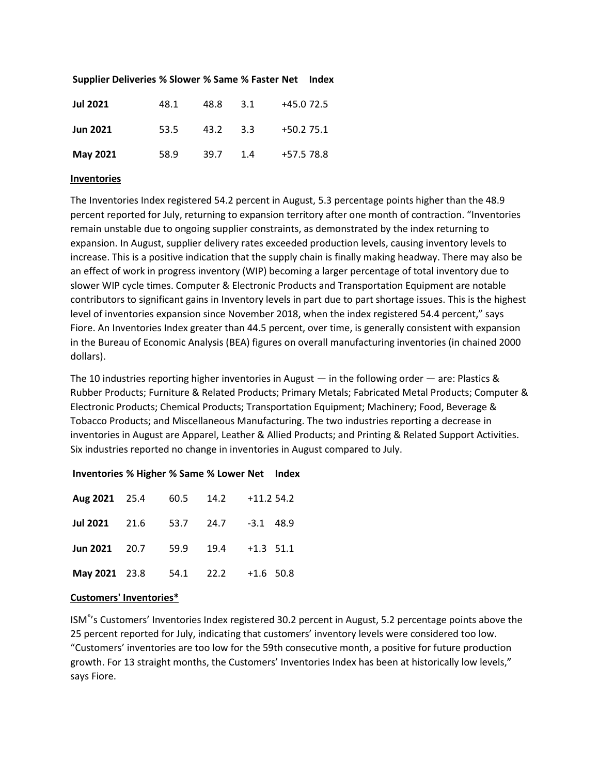| <b>Jul 2021</b> | 48.1 | 48.8     | 3.1 | +45.0 72.5   |
|-----------------|------|----------|-----|--------------|
| <b>Jun 2021</b> | 53.5 | 43.2 3.3 |     | $+50.2$ 75.1 |
| May 2021        | 58.9 | 39.7     | 1.4 | +57.5 78.8   |

#### **Supplier Deliveries % Slower % Same % Faster Net Index**

#### **Inventories**

The Inventories Index registered 54.2 percent in August, 5.3 percentage points higher than the 48.9 percent reported for July, returning to expansion territory after one month of contraction. "Inventories remain unstable due to ongoing supplier constraints, as demonstrated by the index returning to expansion. In August, supplier delivery rates exceeded production levels, causing inventory levels to increase. This is a positive indication that the supply chain is finally making headway. There may also be an effect of work in progress inventory (WIP) becoming a larger percentage of total inventory due to slower WIP cycle times. Computer & Electronic Products and Transportation Equipment are notable contributors to significant gains in Inventory levels in part due to part shortage issues. This is the highest level of inventories expansion since November 2018, when the index registered 54.4 percent," says Fiore. An Inventories Index greater than 44.5 percent, over time, is generally consistent with expansion in the Bureau of Economic Analysis (BEA) figures on overall manufacturing inventories (in chained 2000 dollars).

The 10 industries reporting higher inventories in August — in the following order — are: Plastics  $\&$ Rubber Products; Furniture & Related Products; Primary Metals; Fabricated Metal Products; Computer & Electronic Products; Chemical Products; Transportation Equipment; Machinery; Food, Beverage & Tobacco Products; and Miscellaneous Manufacturing. The two industries reporting a decrease in inventories in August are Apparel, Leather & Allied Products; and Printing & Related Support Activities. Six industries reported no change in inventories in August compared to July.

| Aug 2021 25.4 60.5 14.2 +11.2 54.2       |  |  |  |
|------------------------------------------|--|--|--|
| <b>Jul 2021</b> 21.6 53.7 24.7 -3.1 48.9 |  |  |  |
| Jun 2021 20.7 59.9 19.4 $+1.3$ 51.1      |  |  |  |
| May 2021 23.8 54.1 22.2 +1.6 50.8        |  |  |  |

#### **Inventories % Higher % Same % Lower Net Index**

#### **Customers' Inventories\***

ISM® 's Customers' Inventories Index registered 30.2 percent in August, 5.2 percentage points above the 25 percent reported for July, indicating that customers' inventory levels were considered too low. "Customers' inventories are too low for the 59th consecutive month, a positive for future production growth. For 13 straight months, the Customers' Inventories Index has been at historically low levels," says Fiore.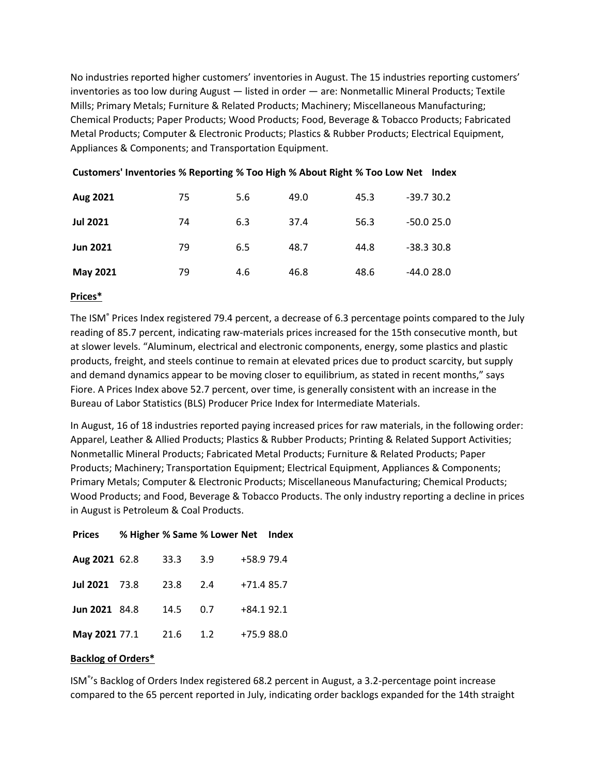No industries reported higher customers' inventories in August. The 15 industries reporting customers' inventories as too low during August — listed in order — are: Nonmetallic Mineral Products; Textile Mills; Primary Metals; Furniture & Related Products; Machinery; Miscellaneous Manufacturing; Chemical Products; Paper Products; Wood Products; Food, Beverage & Tobacco Products; Fabricated Metal Products; Computer & Electronic Products; Plastics & Rubber Products; Electrical Equipment, Appliances & Components; and Transportation Equipment.

| Aug 2021        | 75 | 5.6 | 49.0 | 45.3 | $-39.730.2$ |
|-----------------|----|-----|------|------|-------------|
| <b>Jul 2021</b> | 74 | 6.3 | 37.4 | 56.3 | $-50.025.0$ |
| <b>Jun 2021</b> | 79 | 6.5 | 48.7 | 44.8 | $-38.330.8$ |
| May 2021        | 79 | 4.6 | 46.8 | 48.6 | -44.0 28.0  |

## **Customers' Inventories % Reporting % Too High % About Right % Too Low Net Index**

## **Prices\***

The ISM<sup>®</sup> Prices Index registered 79.4 percent, a decrease of 6.3 percentage points compared to the July reading of 85.7 percent, indicating raw-materials prices increased for the 15th consecutive month, but at slower levels. "Aluminum, electrical and electronic components, energy, some plastics and plastic products, freight, and steels continue to remain at elevated prices due to product scarcity, but supply and demand dynamics appear to be moving closer to equilibrium, as stated in recent months," says Fiore. A Prices Index above 52.7 percent, over time, is generally consistent with an increase in the Bureau of Labor Statistics (BLS) Producer Price Index for Intermediate Materials.

In August, 16 of 18 industries reported paying increased prices for raw materials, in the following order: Apparel, Leather & Allied Products; Plastics & Rubber Products; Printing & Related Support Activities; Nonmetallic Mineral Products; Fabricated Metal Products; Furniture & Related Products; Paper Products; Machinery; Transportation Equipment; Electrical Equipment, Appliances & Components; Primary Metals; Computer & Electronic Products; Miscellaneous Manufacturing; Chemical Products; Wood Products; and Food, Beverage & Tobacco Products. The only industry reporting a decline in prices in August is Petroleum & Coal Products.

| <b>Prices</b> | % Higher % Same % Lower Net Index |      |       |             |  |
|---------------|-----------------------------------|------|-------|-------------|--|
| Aug 2021 62.8 |                                   | 33.3 | - 3.9 | +58.9 79.4  |  |
| Jul 2021 73.8 |                                   | 23.8 | 2.4   | $+71.485.7$ |  |
| Jun 2021 84.8 |                                   | 14.5 | 0.7   | $+84.192.1$ |  |
| May 2021 77.1 |                                   | 21.6 | 1.2   | +75.9 88.0  |  |

#### **Backlog of Orders\***

ISM® 's Backlog of Orders Index registered 68.2 percent in August, a 3.2-percentage point increase compared to the 65 percent reported in July, indicating order backlogs expanded for the 14th straight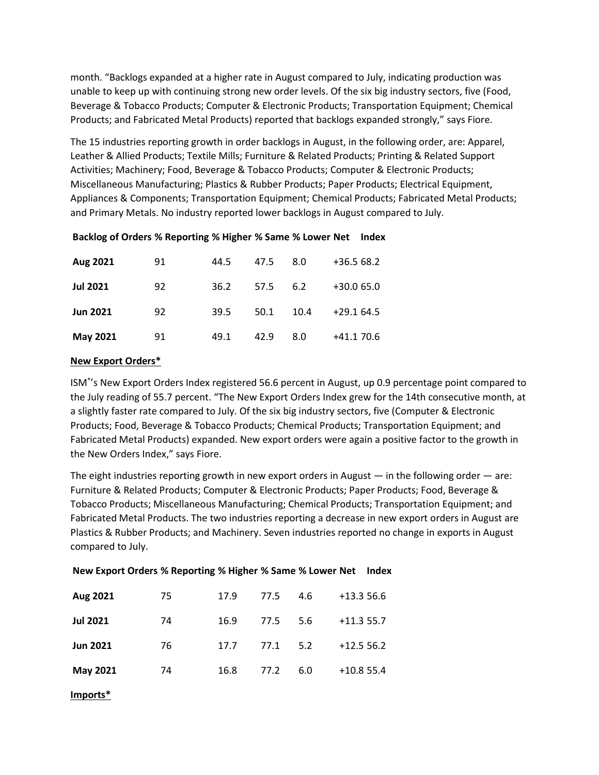month. "Backlogs expanded at a higher rate in August compared to July, indicating production was unable to keep up with continuing strong new order levels. Of the six big industry sectors, five (Food, Beverage & Tobacco Products; Computer & Electronic Products; Transportation Equipment; Chemical Products; and Fabricated Metal Products) reported that backlogs expanded strongly," says Fiore.

The 15 industries reporting growth in order backlogs in August, in the following order, are: Apparel, Leather & Allied Products; Textile Mills; Furniture & Related Products; Printing & Related Support Activities; Machinery; Food, Beverage & Tobacco Products; Computer & Electronic Products; Miscellaneous Manufacturing; Plastics & Rubber Products; Paper Products; Electrical Equipment, Appliances & Components; Transportation Equipment; Chemical Products; Fabricated Metal Products; and Primary Metals. No industry reported lower backlogs in August compared to July.

| Aug 2021        | 91 | 44.5 | 47.5 | 8.0  | $+36.568.2$ |
|-----------------|----|------|------|------|-------------|
| <b>Jul 2021</b> | 92 | 36.2 | 57.5 | 6.2  | $+30.065.0$ |
| <b>Jun 2021</b> | 92 | 39.5 | 50.1 | 10.4 | $+29.164.5$ |
| May 2021        | 91 | 49.1 | 42.9 | 8.0  | $+41.170.6$ |

## **Backlog of Orders % Reporting % Higher % Same % Lower Net Index**

## **New Export Orders\***

ISM® 's New Export Orders Index registered 56.6 percent in August, up 0.9 percentage point compared to the July reading of 55.7 percent. "The New Export Orders Index grew for the 14th consecutive month, at a slightly faster rate compared to July. Of the six big industry sectors, five (Computer & Electronic Products; Food, Beverage & Tobacco Products; Chemical Products; Transportation Equipment; and Fabricated Metal Products) expanded. New export orders were again a positive factor to the growth in the New Orders Index," says Fiore.

The eight industries reporting growth in new export orders in August — in the following order — are: Furniture & Related Products; Computer & Electronic Products; Paper Products; Food, Beverage & Tobacco Products; Miscellaneous Manufacturing; Chemical Products; Transportation Equipment; and Fabricated Metal Products. The two industries reporting a decrease in new export orders in August are Plastics & Rubber Products; and Machinery. Seven industries reported no change in exports in August compared to July.

| Aug 2021        | 75 | 17.9 | 77.5 | 4.6 | $+13.356.6$ |
|-----------------|----|------|------|-----|-------------|
| <b>Jul 2021</b> | 74 | 16.9 | 77.5 | 5.6 | $+11.355.7$ |
| <b>Jun 2021</b> | 76 | 17.7 | 77.1 | 5.2 | $+12.556.2$ |
| May 2021        | 74 | 16.8 | 77.2 | 6.0 | $+10.855.4$ |
| Imports*        |    |      |      |     |             |

# **New Export Orders % Reporting % Higher % Same % Lower Net Index**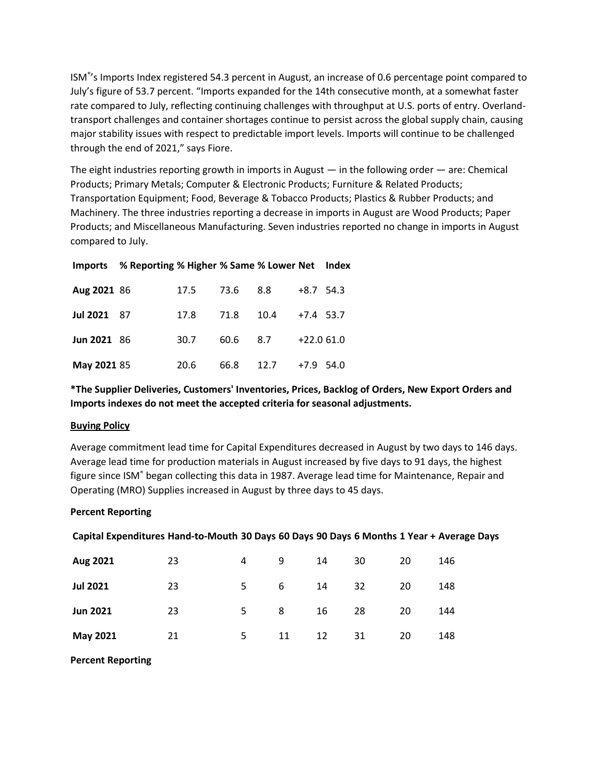ISM® 's Imports Index registered 54.3 percent in August, an increase of 0.6 percentage point compared to July's figure of 53.7 percent. "Imports expanded for the 14th consecutive month, at a somewhat faster rate compared to July, reflecting continuing challenges with throughput at U.S. ports of entry. Overlandtransport challenges and container shortages continue to persist across the global supply chain, causing major stability issues with respect to predictable import levels. Imports will continue to be challenged through the end of 2021," says Fiore.

The eight industries reporting growth in imports in August — in the following order — are: Chemical Products; Primary Metals; Computer & Electronic Products; Furniture & Related Products; Transportation Equipment; Food, Beverage & Tobacco Products; Plastics & Rubber Products; and Machinery. The three industries reporting a decrease in imports in August are Wood Products; Paper Products; and Miscellaneous Manufacturing. Seven industries reported no change in imports in August compared to July.

|                    | Imports % Reporting % Higher % Same % Lower Net Index |      |      |      |             |  |
|--------------------|-------------------------------------------------------|------|------|------|-------------|--|
| Aug 2021 86        |                                                       | 17.5 | 73.6 | 8.8  | $+8.7$ 54.3 |  |
| Jul 2021 87        |                                                       | 17.8 | 71.8 | 10.4 | $+7.4$ 53.7 |  |
| <b>Jun 2021 86</b> |                                                       | 30.7 | 60.6 | 8.7  | $+22.061.0$ |  |
| May 2021 85        |                                                       | 20.6 | 66.8 | 12.7 | $+7.9$ 54.0 |  |

# **\*The Supplier Deliveries, Customers' Inventories, Prices, Backlog of Orders, New Export Orders and Imports indexes do not meet the accepted criteria for seasonal adjustments.**

## **Buying Policy**

Average commitment lead time for Capital Expenditures decreased in August by two days to 146 days. Average lead time for production materials in August increased by five days to 91 days, the highest figure since ISM® began collecting this data in 1987. Average lead time for Maintenance, Repair and Operating (MRO) Supplies increased in August by three days to 45 days.

## **Percent Reporting**

| Capital Expenditures Hand-to-Mouth 30 Days 60 Days 90 Days 6 Months 1 Year + Average Days |  |  |
|-------------------------------------------------------------------------------------------|--|--|

| Aug 2021        | 23 | 4  | 9  | 14 | 30 | 20 | 146 |
|-----------------|----|----|----|----|----|----|-----|
| <b>Jul 2021</b> | 23 | 5. | 6  | 14 | 32 | 20 | 148 |
| <b>Jun 2021</b> | 23 | 5. | 8  | 16 | 28 | 20 | 144 |
| May 2021        | 21 | 5. | 11 | 12 | 31 | 20 | 148 |

**Percent Reporting**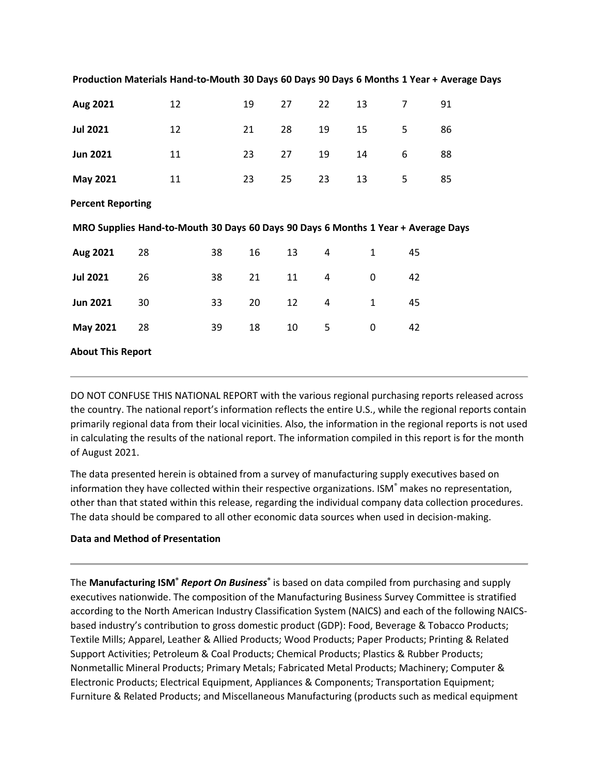| Aug 2021                                                                          |    | 12 |    | 19 | 27 | 22                      | 13           | 7  | 91 |
|-----------------------------------------------------------------------------------|----|----|----|----|----|-------------------------|--------------|----|----|
| <b>Jul 2021</b>                                                                   | 12 |    |    | 21 | 28 | 19                      | 15           | 5  | 86 |
| <b>Jun 2021</b>                                                                   | 11 |    |    | 23 | 27 | 19                      | 14           | 6  | 88 |
| May 2021                                                                          | 11 |    |    | 23 | 25 | 23                      | 13           | 5  | 85 |
| <b>Percent Reporting</b>                                                          |    |    |    |    |    |                         |              |    |    |
| MRO Supplies Hand-to-Mouth 30 Days 60 Days 90 Days 6 Months 1 Year + Average Days |    |    |    |    |    |                         |              |    |    |
| Aug 2021                                                                          | 28 |    | 38 | 16 | 13 | 4                       | $\mathbf{1}$ | 45 |    |
| <b>Jul 2021</b>                                                                   | 26 |    | 38 | 21 | 11 | 4                       | 0            | 42 |    |
| <b>Jun 2021</b>                                                                   | 30 |    | 33 | 20 | 12 | $\overline{\mathbf{4}}$ | $\mathbf{1}$ | 45 |    |
| <b>May 2021</b>                                                                   | 28 |    | 39 | 18 | 10 | 5                       | 0            | 42 |    |
| <b>About This Report</b>                                                          |    |    |    |    |    |                         |              |    |    |

**Production Materials Hand-to-Mouth 30 Days 60 Days 90 Days 6 Months 1 Year + Average Days**

DO NOT CONFUSE THIS NATIONAL REPORT with the various regional purchasing reports released across the country. The national report's information reflects the entire U.S., while the regional reports contain primarily regional data from their local vicinities. Also, the information in the regional reports is not used in calculating the results of the national report. The information compiled in this report is for the month of August 2021.

The data presented herein is obtained from a survey of manufacturing supply executives based on information they have collected within their respective organizations. ISM® makes no representation, other than that stated within this release, regarding the individual company data collection procedures. The data should be compared to all other economic data sources when used in decision-making.

## **Data and Method of Presentation**

The **Manufacturing ISM®** *Report On Business***®** is based on data compiled from purchasing and supply executives nationwide. The composition of the Manufacturing Business Survey Committee is stratified according to the North American Industry Classification System (NAICS) and each of the following NAICSbased industry's contribution to gross domestic product (GDP): Food, Beverage & Tobacco Products; Textile Mills; Apparel, Leather & Allied Products; Wood Products; Paper Products; Printing & Related Support Activities; Petroleum & Coal Products; Chemical Products; Plastics & Rubber Products; Nonmetallic Mineral Products; Primary Metals; Fabricated Metal Products; Machinery; Computer & Electronic Products; Electrical Equipment, Appliances & Components; Transportation Equipment; Furniture & Related Products; and Miscellaneous Manufacturing (products such as medical equipment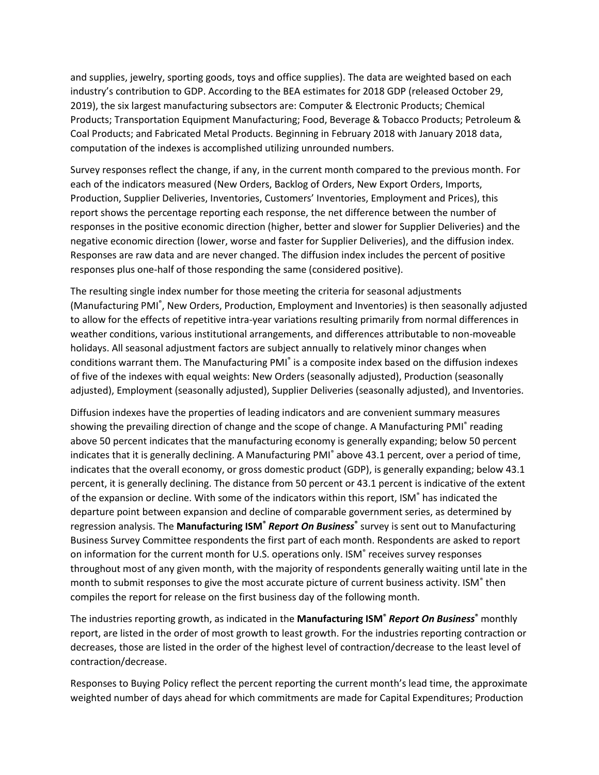and supplies, jewelry, sporting goods, toys and office supplies). The data are weighted based on each industry's contribution to GDP. According to the BEA estimates for 2018 GDP (released October 29, 2019), the six largest manufacturing subsectors are: Computer & Electronic Products; Chemical Products; Transportation Equipment Manufacturing; Food, Beverage & Tobacco Products; Petroleum & Coal Products; and Fabricated Metal Products. Beginning in February 2018 with January 2018 data, computation of the indexes is accomplished utilizing unrounded numbers.

Survey responses reflect the change, if any, in the current month compared to the previous month. For each of the indicators measured (New Orders, Backlog of Orders, New Export Orders, Imports, Production, Supplier Deliveries, Inventories, Customers' Inventories, Employment and Prices), this report shows the percentage reporting each response, the net difference between the number of responses in the positive economic direction (higher, better and slower for Supplier Deliveries) and the negative economic direction (lower, worse and faster for Supplier Deliveries), and the diffusion index. Responses are raw data and are never changed. The diffusion index includes the percent of positive responses plus one-half of those responding the same (considered positive).

The resulting single index number for those meeting the criteria for seasonal adjustments (Manufacturing PMI<sup>®</sup>, New Orders, Production, Employment and Inventories) is then seasonally adjusted to allow for the effects of repetitive intra-year variations resulting primarily from normal differences in weather conditions, various institutional arrangements, and differences attributable to non-moveable holidays. All seasonal adjustment factors are subject annually to relatively minor changes when conditions warrant them. The Manufacturing PMI<sup>®</sup> is a composite index based on the diffusion indexes of five of the indexes with equal weights: New Orders (seasonally adjusted), Production (seasonally adjusted), Employment (seasonally adjusted), Supplier Deliveries (seasonally adjusted), and Inventories.

Diffusion indexes have the properties of leading indicators and are convenient summary measures showing the prevailing direction of change and the scope of change. A Manufacturing PMI<sup>®</sup> reading above 50 percent indicates that the manufacturing economy is generally expanding; below 50 percent indicates that it is generally declining. A Manufacturing PMI® above 43.1 percent, over a period of time, indicates that the overall economy, or gross domestic product (GDP), is generally expanding; below 43.1 percent, it is generally declining. The distance from 50 percent or 43.1 percent is indicative of the extent of the expansion or decline. With some of the indicators within this report, ISM® has indicated the departure point between expansion and decline of comparable government series, as determined by regression analysis. The **Manufacturing ISM®** *Report On Business***®** survey is sent out to Manufacturing Business Survey Committee respondents the first part of each month. Respondents are asked to report on information for the current month for U.S. operations only. ISM<sup>®</sup> receives survey responses throughout most of any given month, with the majority of respondents generally waiting until late in the month to submit responses to give the most accurate picture of current business activity. ISM<sup>®</sup> then compiles the report for release on the first business day of the following month.

The industries reporting growth, as indicated in the **Manufacturing ISM®** *Report On Business***®** monthly report, are listed in the order of most growth to least growth. For the industries reporting contraction or decreases, those are listed in the order of the highest level of contraction/decrease to the least level of contraction/decrease.

Responses to Buying Policy reflect the percent reporting the current month's lead time, the approximate weighted number of days ahead for which commitments are made for Capital Expenditures; Production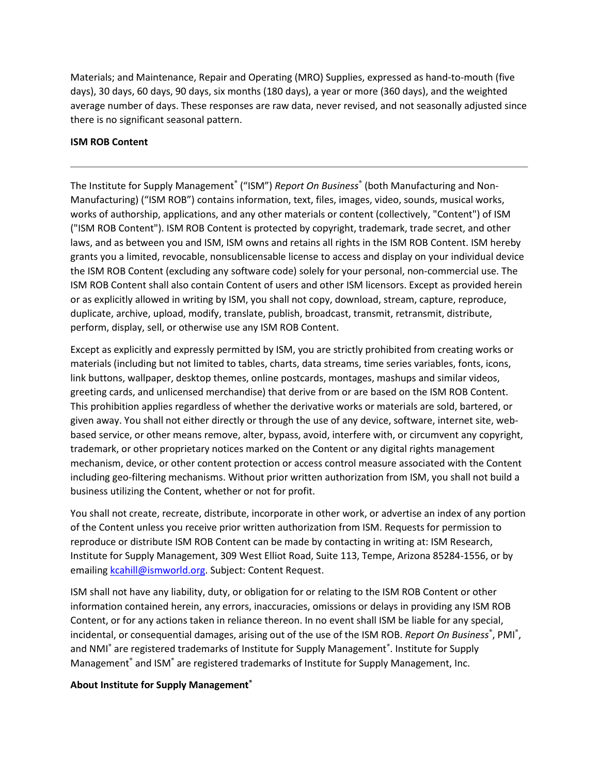Materials; and Maintenance, Repair and Operating (MRO) Supplies, expressed as hand-to-mouth (five days), 30 days, 60 days, 90 days, six months (180 days), a year or more (360 days), and the weighted average number of days. These responses are raw data, never revised, and not seasonally adjusted since there is no significant seasonal pattern.

## **ISM ROB Content**

The Institute for Supply Management<sup>®</sup> ("ISM") *Report On Business*® (both Manufacturing and Non-Manufacturing) ("ISM ROB") contains information, text, files, images, video, sounds, musical works, works of authorship, applications, and any other materials or content (collectively, "Content") of ISM ("ISM ROB Content"). ISM ROB Content is protected by copyright, trademark, trade secret, and other laws, and as between you and ISM, ISM owns and retains all rights in the ISM ROB Content. ISM hereby grants you a limited, revocable, nonsublicensable license to access and display on your individual device the ISM ROB Content (excluding any software code) solely for your personal, non-commercial use. The ISM ROB Content shall also contain Content of users and other ISM licensors. Except as provided herein or as explicitly allowed in writing by ISM, you shall not copy, download, stream, capture, reproduce, duplicate, archive, upload, modify, translate, publish, broadcast, transmit, retransmit, distribute, perform, display, sell, or otherwise use any ISM ROB Content.

Except as explicitly and expressly permitted by ISM, you are strictly prohibited from creating works or materials (including but not limited to tables, charts, data streams, time series variables, fonts, icons, link buttons, wallpaper, desktop themes, online postcards, montages, mashups and similar videos, greeting cards, and unlicensed merchandise) that derive from or are based on the ISM ROB Content. This prohibition applies regardless of whether the derivative works or materials are sold, bartered, or given away. You shall not either directly or through the use of any device, software, internet site, webbased service, or other means remove, alter, bypass, avoid, interfere with, or circumvent any copyright, trademark, or other proprietary notices marked on the Content or any digital rights management mechanism, device, or other content protection or access control measure associated with the Content including geo-filtering mechanisms. Without prior written authorization from ISM, you shall not build a business utilizing the Content, whether or not for profit.

You shall not create, recreate, distribute, incorporate in other work, or advertise an index of any portion of the Content unless you receive prior written authorization from ISM. Requests for permission to reproduce or distribute ISM ROB Content can be made by contacting in writing at: ISM Research, Institute for Supply Management, 309 West Elliot Road, Suite 113, Tempe, Arizona 85284-1556, or by emailin[g kcahill@ismworld.org.](mailto:kcahill@ismworld.org?subject=Content%20Request) Subject: Content Request.

ISM shall not have any liability, duty, or obligation for or relating to the ISM ROB Content or other information contained herein, any errors, inaccuracies, omissions or delays in providing any ISM ROB Content, or for any actions taken in reliance thereon. In no event shall ISM be liable for any special, incidental, or consequential damages, arising out of the use of the ISM ROB. *Report On Business*<sup>®</sup>, PMI<sup>®</sup>, and NMI<sup>®</sup> are registered trademarks of Institute for Supply Management®. Institute for Supply Management® and ISM® are registered trademarks of Institute for Supply Management, Inc.

## **About Institute for Supply Management®**